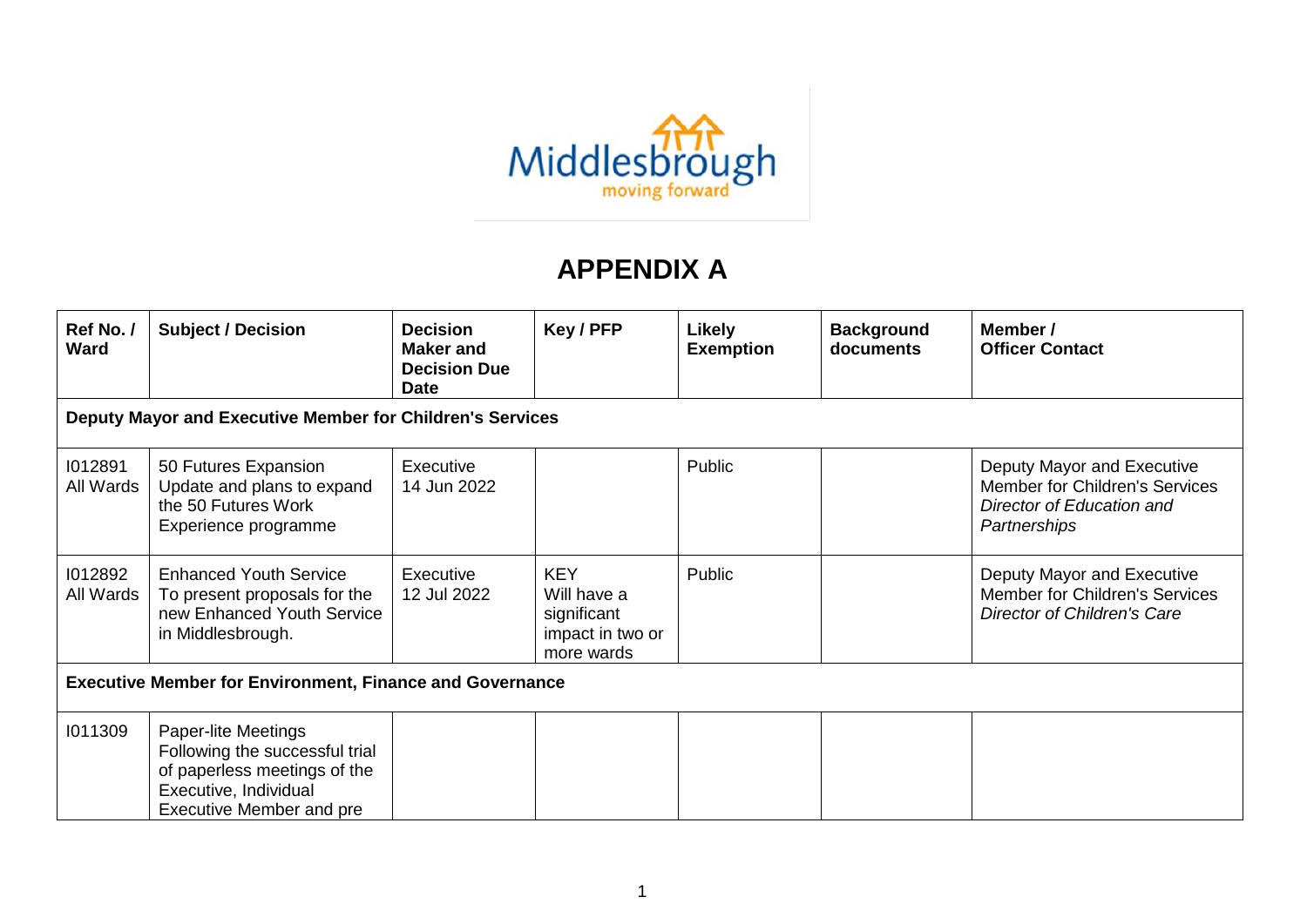

## **APPENDIX A**

| Ref No./<br><b>Ward</b>                                         | <b>Subject / Decision</b>                                                                                                                         | <b>Decision</b><br><b>Maker and</b><br><b>Decision Due</b><br><b>Date</b> | Key / PFP                                                                  | Likely<br><b>Exemption</b> | <b>Background</b><br>documents | Member /<br><b>Officer Contact</b>                                                                        |  |  |
|-----------------------------------------------------------------|---------------------------------------------------------------------------------------------------------------------------------------------------|---------------------------------------------------------------------------|----------------------------------------------------------------------------|----------------------------|--------------------------------|-----------------------------------------------------------------------------------------------------------|--|--|
| Deputy Mayor and Executive Member for Children's Services       |                                                                                                                                                   |                                                                           |                                                                            |                            |                                |                                                                                                           |  |  |
| 1012891<br>All Wards                                            | 50 Futures Expansion<br>Update and plans to expand<br>the 50 Futures Work<br>Experience programme                                                 | Executive<br>14 Jun 2022                                                  |                                                                            | Public                     |                                | Deputy Mayor and Executive<br>Member for Children's Services<br>Director of Education and<br>Partnerships |  |  |
| 1012892<br>All Wards                                            | <b>Enhanced Youth Service</b><br>To present proposals for the<br>new Enhanced Youth Service<br>in Middlesbrough.                                  | Executive<br>12 Jul 2022                                                  | <b>KEY</b><br>Will have a<br>significant<br>impact in two or<br>more wards | Public                     |                                | Deputy Mayor and Executive<br>Member for Children's Services<br><b>Director of Children's Care</b>        |  |  |
| <b>Executive Member for Environment, Finance and Governance</b> |                                                                                                                                                   |                                                                           |                                                                            |                            |                                |                                                                                                           |  |  |
| 1011309                                                         | Paper-lite Meetings<br>Following the successful trial<br>of paperless meetings of the<br>Executive, Individual<br><b>Executive Member and pre</b> |                                                                           |                                                                            |                            |                                |                                                                                                           |  |  |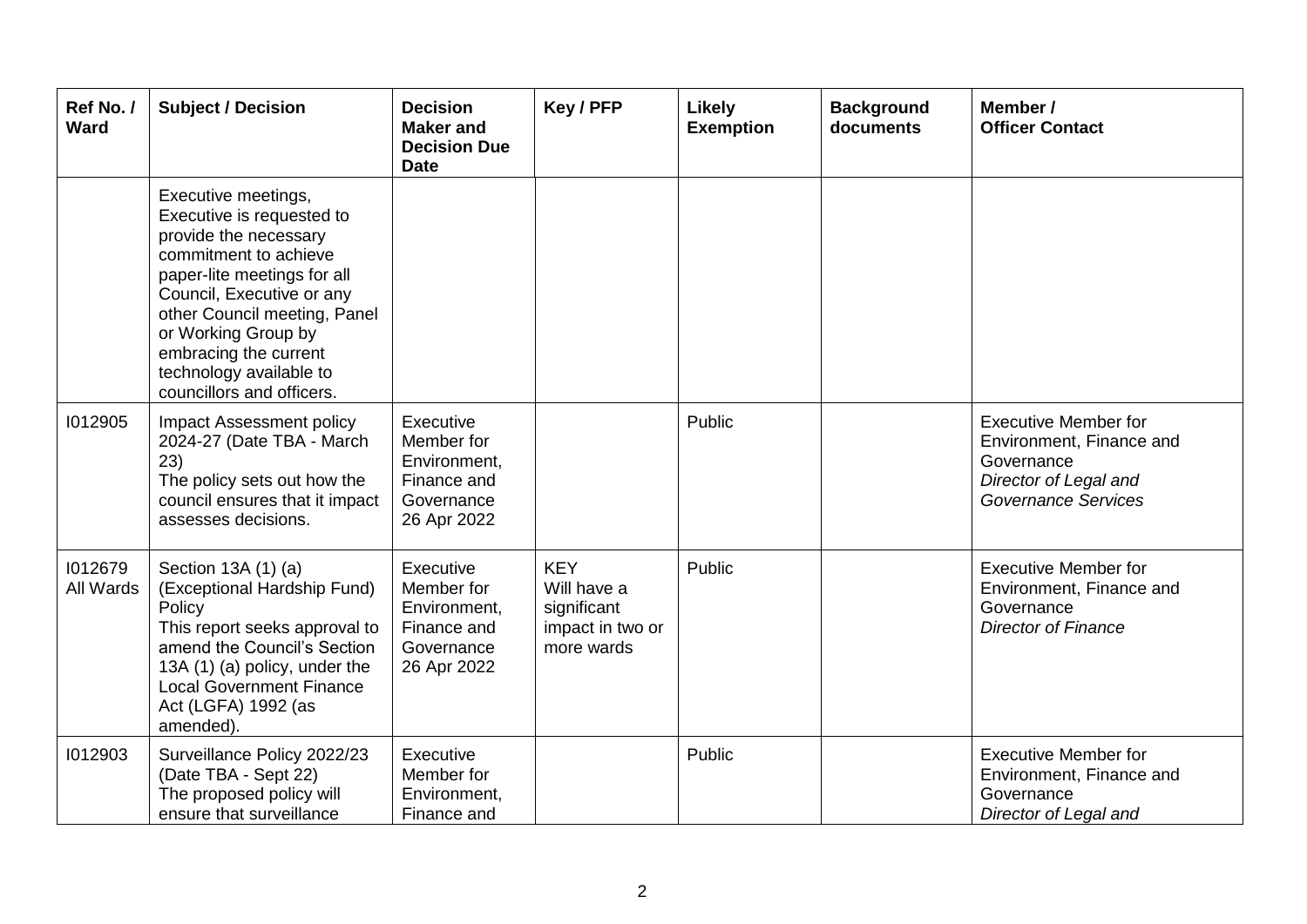| Ref No./<br><b>Ward</b> | <b>Subject / Decision</b>                                                                                                                                                                                                                                                                              | <b>Decision</b><br><b>Maker</b> and<br><b>Decision Due</b><br><b>Date</b>           | Key / PFP                                                                  | <b>Likely</b><br><b>Exemption</b> | <b>Background</b><br>documents | Member /<br><b>Officer Contact</b>                                                                                           |
|-------------------------|--------------------------------------------------------------------------------------------------------------------------------------------------------------------------------------------------------------------------------------------------------------------------------------------------------|-------------------------------------------------------------------------------------|----------------------------------------------------------------------------|-----------------------------------|--------------------------------|------------------------------------------------------------------------------------------------------------------------------|
|                         | Executive meetings,<br>Executive is requested to<br>provide the necessary<br>commitment to achieve<br>paper-lite meetings for all<br>Council, Executive or any<br>other Council meeting, Panel<br>or Working Group by<br>embracing the current<br>technology available to<br>councillors and officers. |                                                                                     |                                                                            |                                   |                                |                                                                                                                              |
| 1012905                 | Impact Assessment policy<br>2024-27 (Date TBA - March<br>23)<br>The policy sets out how the<br>council ensures that it impact<br>assesses decisions.                                                                                                                                                   | Executive<br>Member for<br>Environment,<br>Finance and<br>Governance<br>26 Apr 2022 |                                                                            | Public                            |                                | <b>Executive Member for</b><br>Environment, Finance and<br>Governance<br>Director of Legal and<br><b>Governance Services</b> |
| 1012679<br>All Wards    | Section 13A (1) (a)<br>(Exceptional Hardship Fund)<br>Policy<br>This report seeks approval to<br>amend the Council's Section<br>13A (1) (a) policy, under the<br><b>Local Government Finance</b><br>Act (LGFA) 1992 (as<br>amended).                                                                   | Executive<br>Member for<br>Environment,<br>Finance and<br>Governance<br>26 Apr 2022 | <b>KEY</b><br>Will have a<br>significant<br>impact in two or<br>more wards | Public                            |                                | <b>Executive Member for</b><br>Environment, Finance and<br>Governance<br><b>Director of Finance</b>                          |
| 1012903                 | Surveillance Policy 2022/23<br>(Date TBA - Sept 22)<br>The proposed policy will<br>ensure that surveillance                                                                                                                                                                                            | Executive<br>Member for<br>Environment,<br>Finance and                              |                                                                            | Public                            |                                | <b>Executive Member for</b><br>Environment, Finance and<br>Governance<br>Director of Legal and                               |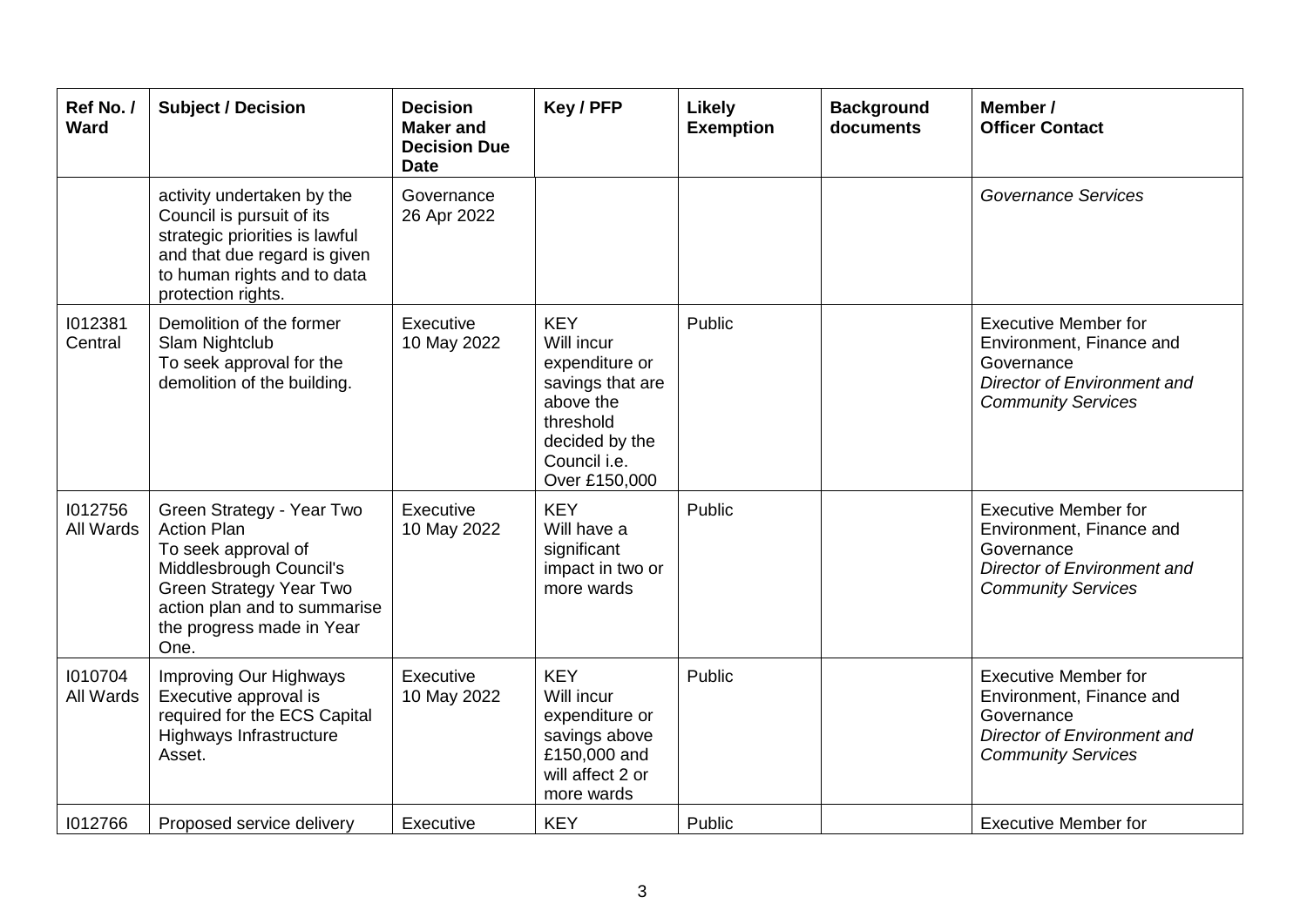| Ref No./<br><b>Ward</b> | <b>Subject / Decision</b>                                                                                                                                                                                | <b>Decision</b><br><b>Maker and</b><br><b>Decision Due</b><br><b>Date</b> | Key / PFP                                                                                                                                          | <b>Likely</b><br><b>Exemption</b> | <b>Background</b><br>documents | Member /<br><b>Officer Contact</b>                                                                                                |
|-------------------------|----------------------------------------------------------------------------------------------------------------------------------------------------------------------------------------------------------|---------------------------------------------------------------------------|----------------------------------------------------------------------------------------------------------------------------------------------------|-----------------------------------|--------------------------------|-----------------------------------------------------------------------------------------------------------------------------------|
|                         | activity undertaken by the<br>Council is pursuit of its<br>strategic priorities is lawful<br>and that due regard is given<br>to human rights and to data<br>protection rights.                           | Governance<br>26 Apr 2022                                                 |                                                                                                                                                    |                                   |                                | <b>Governance Services</b>                                                                                                        |
| 1012381<br>Central      | Demolition of the former<br>Slam Nightclub<br>To seek approval for the<br>demolition of the building.                                                                                                    | Executive<br>10 May 2022                                                  | <b>KEY</b><br>Will incur<br>expenditure or<br>savings that are<br>above the<br>threshold<br>decided by the<br>Council <i>i.e.</i><br>Over £150,000 | Public                            |                                | <b>Executive Member for</b><br>Environment, Finance and<br>Governance<br>Director of Environment and<br><b>Community Services</b> |
| 1012756<br>All Wards    | Green Strategy - Year Two<br><b>Action Plan</b><br>To seek approval of<br>Middlesbrough Council's<br><b>Green Strategy Year Two</b><br>action plan and to summarise<br>the progress made in Year<br>One. | Executive<br>10 May 2022                                                  | <b>KEY</b><br>Will have a<br>significant<br>impact in two or<br>more wards                                                                         | Public                            |                                | <b>Executive Member for</b><br>Environment, Finance and<br>Governance<br>Director of Environment and<br><b>Community Services</b> |
| 1010704<br>All Wards    | Improving Our Highways<br>Executive approval is<br>required for the ECS Capital<br>Highways Infrastructure<br>Asset.                                                                                     | Executive<br>10 May 2022                                                  | <b>KEY</b><br>Will incur<br>expenditure or<br>savings above<br>£150,000 and<br>will affect 2 or<br>more wards                                      | Public                            |                                | <b>Executive Member for</b><br>Environment, Finance and<br>Governance<br>Director of Environment and<br><b>Community Services</b> |
| 1012766                 | Proposed service delivery                                                                                                                                                                                | Executive                                                                 | <b>KEY</b>                                                                                                                                         | Public                            |                                | <b>Executive Member for</b>                                                                                                       |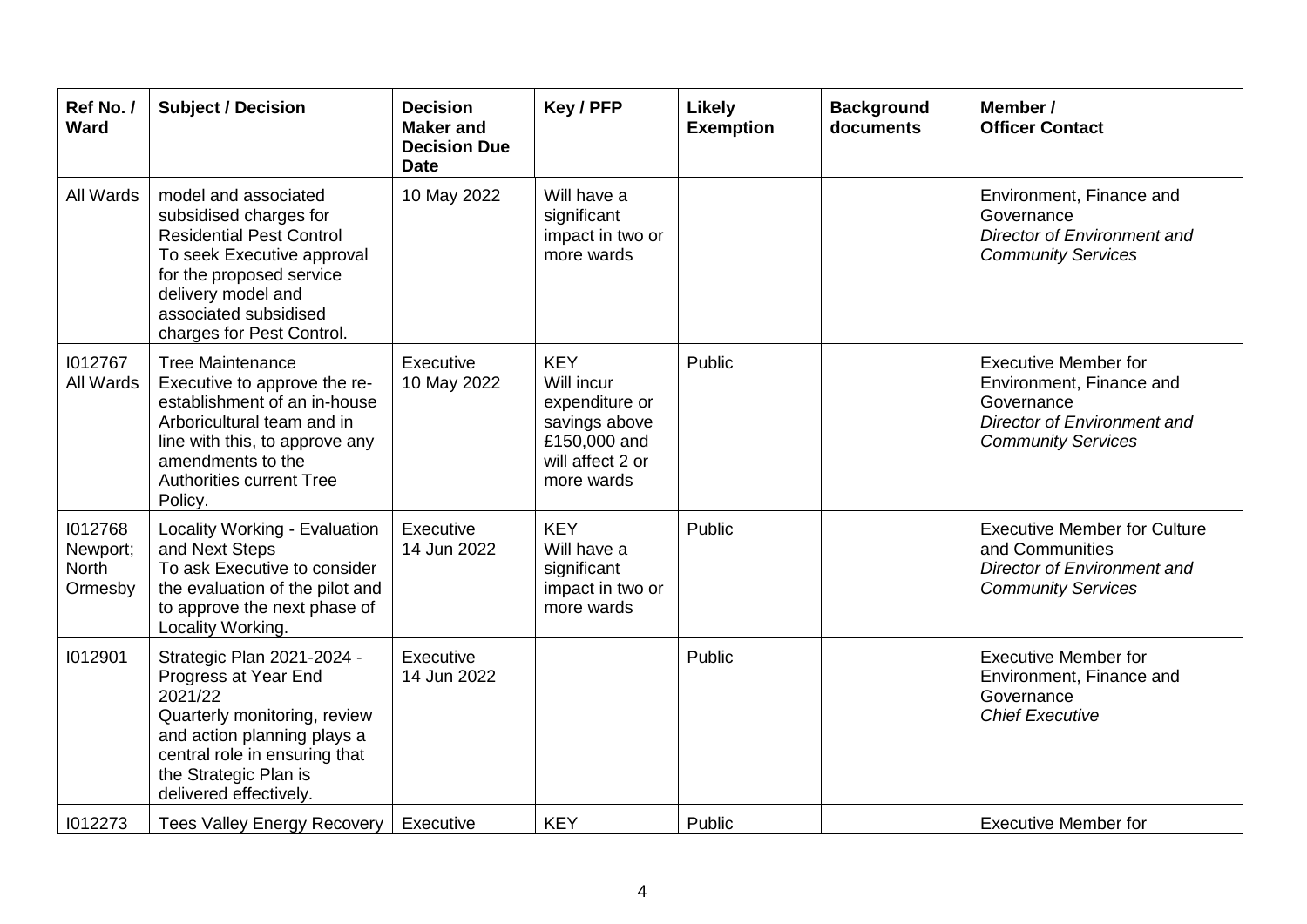| Ref No./<br>Ward                               | <b>Subject / Decision</b>                                                                                                                                                                                                  | <b>Decision</b><br><b>Maker and</b><br><b>Decision Due</b><br><b>Date</b> | Key / PFP                                                                                                     | <b>Likely</b><br><b>Exemption</b> | <b>Background</b><br>documents | Member /<br><b>Officer Contact</b>                                                                                                |
|------------------------------------------------|----------------------------------------------------------------------------------------------------------------------------------------------------------------------------------------------------------------------------|---------------------------------------------------------------------------|---------------------------------------------------------------------------------------------------------------|-----------------------------------|--------------------------------|-----------------------------------------------------------------------------------------------------------------------------------|
| All Wards                                      | model and associated<br>subsidised charges for<br><b>Residential Pest Control</b><br>To seek Executive approval<br>for the proposed service<br>delivery model and<br>associated subsidised<br>charges for Pest Control.    | 10 May 2022                                                               | Will have a<br>significant<br>impact in two or<br>more wards                                                  |                                   |                                | Environment, Finance and<br>Governance<br>Director of Environment and<br><b>Community Services</b>                                |
| 1012767<br>All Wards                           | <b>Tree Maintenance</b><br>Executive to approve the re-<br>establishment of an in-house<br>Arboricultural team and in<br>line with this, to approve any<br>amendments to the<br><b>Authorities current Tree</b><br>Policy. | Executive<br>10 May 2022                                                  | <b>KEY</b><br>Will incur<br>expenditure or<br>savings above<br>£150,000 and<br>will affect 2 or<br>more wards | Public                            |                                | <b>Executive Member for</b><br>Environment, Finance and<br>Governance<br>Director of Environment and<br><b>Community Services</b> |
| 1012768<br>Newport;<br><b>North</b><br>Ormesby | Locality Working - Evaluation<br>and Next Steps<br>To ask Executive to consider<br>the evaluation of the pilot and<br>to approve the next phase of<br>Locality Working.                                                    | Executive<br>14 Jun 2022                                                  | <b>KEY</b><br>Will have a<br>significant<br>impact in two or<br>more wards                                    | Public                            |                                | <b>Executive Member for Culture</b><br>and Communities<br><b>Director of Environment and</b><br><b>Community Services</b>         |
| 1012901                                        | Strategic Plan 2021-2024 -<br>Progress at Year End<br>2021/22<br>Quarterly monitoring, review<br>and action planning plays a<br>central role in ensuring that<br>the Strategic Plan is<br>delivered effectively.           | Executive<br>14 Jun 2022                                                  |                                                                                                               | Public                            |                                | <b>Executive Member for</b><br>Environment, Finance and<br>Governance<br><b>Chief Executive</b>                                   |
| 1012273                                        | Tees Valley Energy Recovery                                                                                                                                                                                                | Executive                                                                 | <b>KEY</b>                                                                                                    | Public                            |                                | <b>Executive Member for</b>                                                                                                       |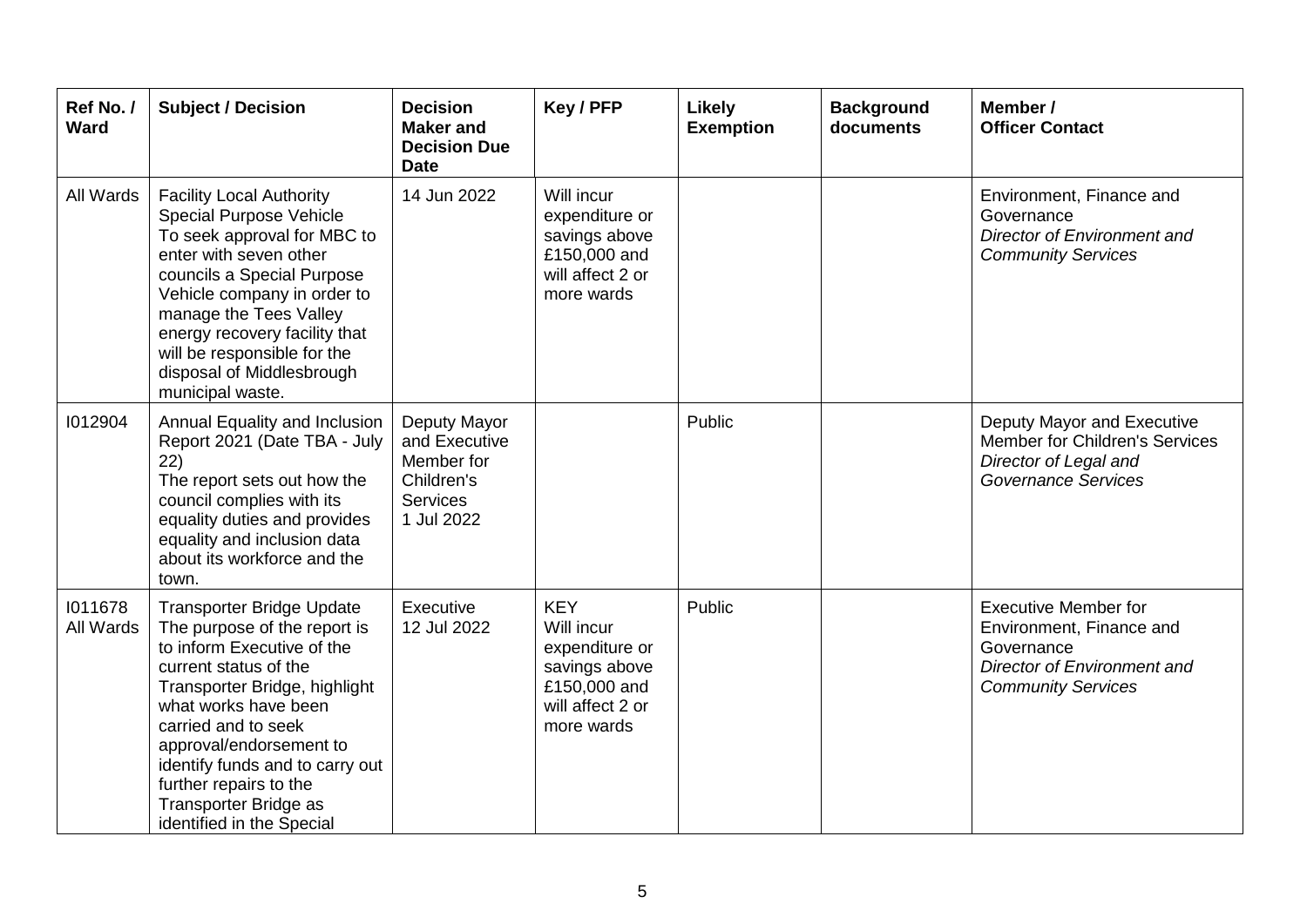| Ref No./<br>Ward     | <b>Subject / Decision</b>                                                                                                                                                                                                                                                                                                                             | <b>Decision</b><br><b>Maker and</b><br><b>Decision Due</b><br><b>Date</b>                  | Key / PFP                                                                                                     | <b>Likely</b><br><b>Exemption</b> | <b>Background</b><br>documents | Member /<br><b>Officer Contact</b>                                                                                                |
|----------------------|-------------------------------------------------------------------------------------------------------------------------------------------------------------------------------------------------------------------------------------------------------------------------------------------------------------------------------------------------------|--------------------------------------------------------------------------------------------|---------------------------------------------------------------------------------------------------------------|-----------------------------------|--------------------------------|-----------------------------------------------------------------------------------------------------------------------------------|
| All Wards            | <b>Facility Local Authority</b><br>Special Purpose Vehicle<br>To seek approval for MBC to<br>enter with seven other<br>councils a Special Purpose<br>Vehicle company in order to<br>manage the Tees Valley<br>energy recovery facility that<br>will be responsible for the<br>disposal of Middlesbrough<br>municipal waste.                           | 14 Jun 2022                                                                                | Will incur<br>expenditure or<br>savings above<br>£150,000 and<br>will affect 2 or<br>more wards               |                                   |                                | Environment, Finance and<br>Governance<br>Director of Environment and<br><b>Community Services</b>                                |
| 1012904              | Annual Equality and Inclusion<br>Report 2021 (Date TBA - July<br>22)<br>The report sets out how the<br>council complies with its<br>equality duties and provides<br>equality and inclusion data<br>about its workforce and the<br>town.                                                                                                               | Deputy Mayor<br>and Executive<br>Member for<br>Children's<br><b>Services</b><br>1 Jul 2022 |                                                                                                               | Public                            |                                | Deputy Mayor and Executive<br>Member for Children's Services<br>Director of Legal and<br><b>Governance Services</b>               |
| 1011678<br>All Wards | <b>Transporter Bridge Update</b><br>The purpose of the report is<br>to inform Executive of the<br>current status of the<br>Transporter Bridge, highlight<br>what works have been<br>carried and to seek<br>approval/endorsement to<br>identify funds and to carry out<br>further repairs to the<br>Transporter Bridge as<br>identified in the Special | Executive<br>12 Jul 2022                                                                   | <b>KEY</b><br>Will incur<br>expenditure or<br>savings above<br>£150,000 and<br>will affect 2 or<br>more wards | Public                            |                                | <b>Executive Member for</b><br>Environment, Finance and<br>Governance<br>Director of Environment and<br><b>Community Services</b> |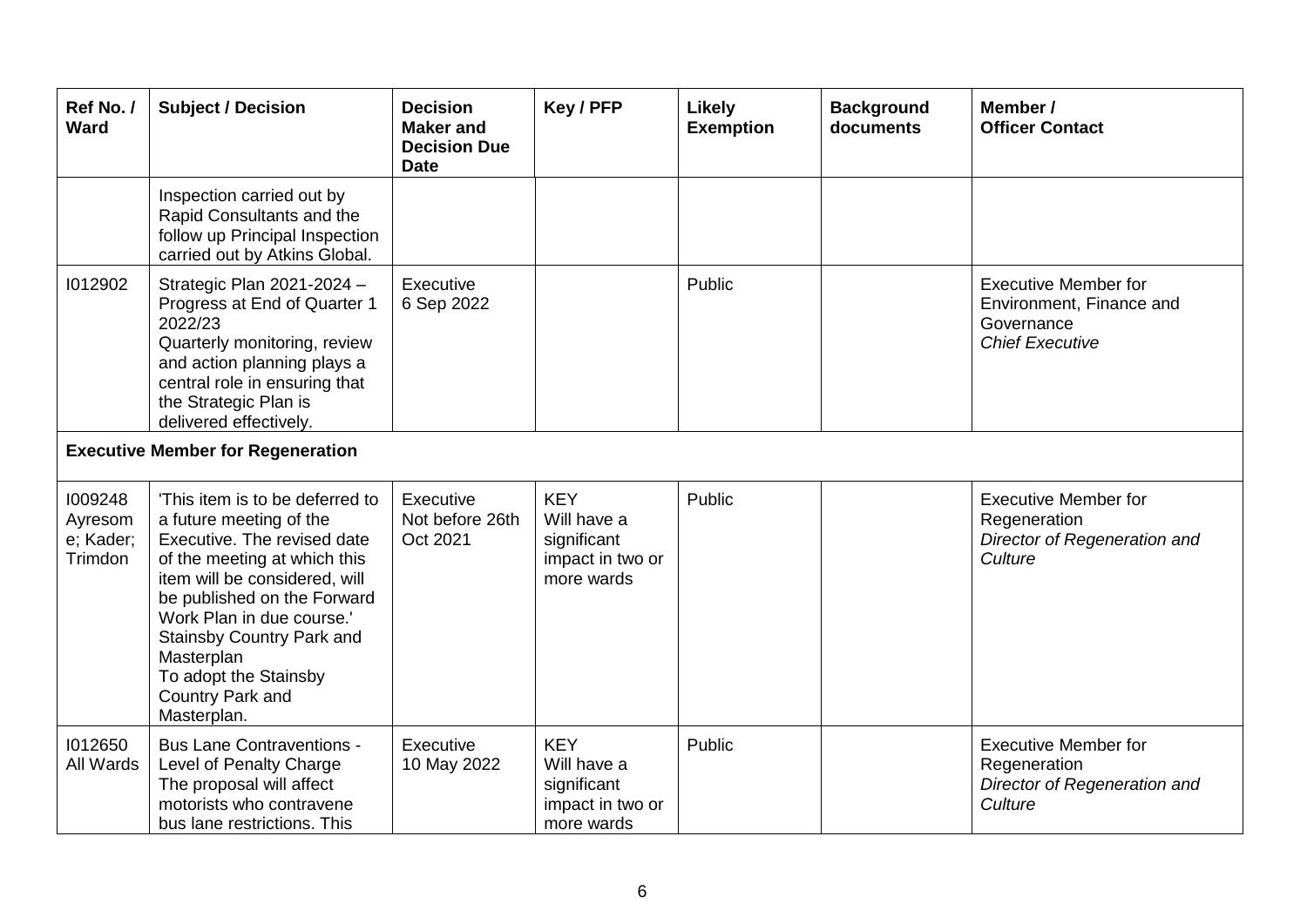| Ref No./<br>Ward                           | <b>Subject / Decision</b>                                                                                                                                                                                                                                                                                                     | <b>Decision</b><br><b>Maker</b> and<br><b>Decision Due</b><br><b>Date</b> | Key / PFP                                                                  | <b>Likely</b><br><b>Exemption</b> | <b>Background</b><br>documents | Member /<br><b>Officer Contact</b>                                                              |
|--------------------------------------------|-------------------------------------------------------------------------------------------------------------------------------------------------------------------------------------------------------------------------------------------------------------------------------------------------------------------------------|---------------------------------------------------------------------------|----------------------------------------------------------------------------|-----------------------------------|--------------------------------|-------------------------------------------------------------------------------------------------|
|                                            | Inspection carried out by<br>Rapid Consultants and the<br>follow up Principal Inspection<br>carried out by Atkins Global.                                                                                                                                                                                                     |                                                                           |                                                                            |                                   |                                |                                                                                                 |
| 1012902                                    | Strategic Plan 2021-2024 -<br>Progress at End of Quarter 1<br>2022/23<br>Quarterly monitoring, review<br>and action planning plays a<br>central role in ensuring that<br>the Strategic Plan is<br>delivered effectively.                                                                                                      | Executive<br>6 Sep 2022                                                   |                                                                            | Public                            |                                | <b>Executive Member for</b><br>Environment, Finance and<br>Governance<br><b>Chief Executive</b> |
|                                            | <b>Executive Member for Regeneration</b>                                                                                                                                                                                                                                                                                      |                                                                           |                                                                            |                                   |                                |                                                                                                 |
| 1009248<br>Ayresom<br>e; Kader;<br>Trimdon | 'This item is to be deferred to<br>a future meeting of the<br>Executive. The revised date<br>of the meeting at which this<br>item will be considered, will<br>be published on the Forward<br>Work Plan in due course.'<br>Stainsby Country Park and<br>Masterplan<br>To adopt the Stainsby<br>Country Park and<br>Masterplan. | Executive<br>Not before 26th<br>Oct 2021                                  | <b>KEY</b><br>Will have a<br>significant<br>impact in two or<br>more wards | Public                            |                                | <b>Executive Member for</b><br>Regeneration<br>Director of Regeneration and<br>Culture          |
| 1012650<br>All Wards                       | <b>Bus Lane Contraventions -</b><br>Level of Penalty Charge<br>The proposal will affect<br>motorists who contravene<br>bus lane restrictions. This                                                                                                                                                                            | Executive<br>10 May 2022                                                  | <b>KEY</b><br>Will have a<br>significant<br>impact in two or<br>more wards | Public                            |                                | <b>Executive Member for</b><br>Regeneration<br>Director of Regeneration and<br>Culture          |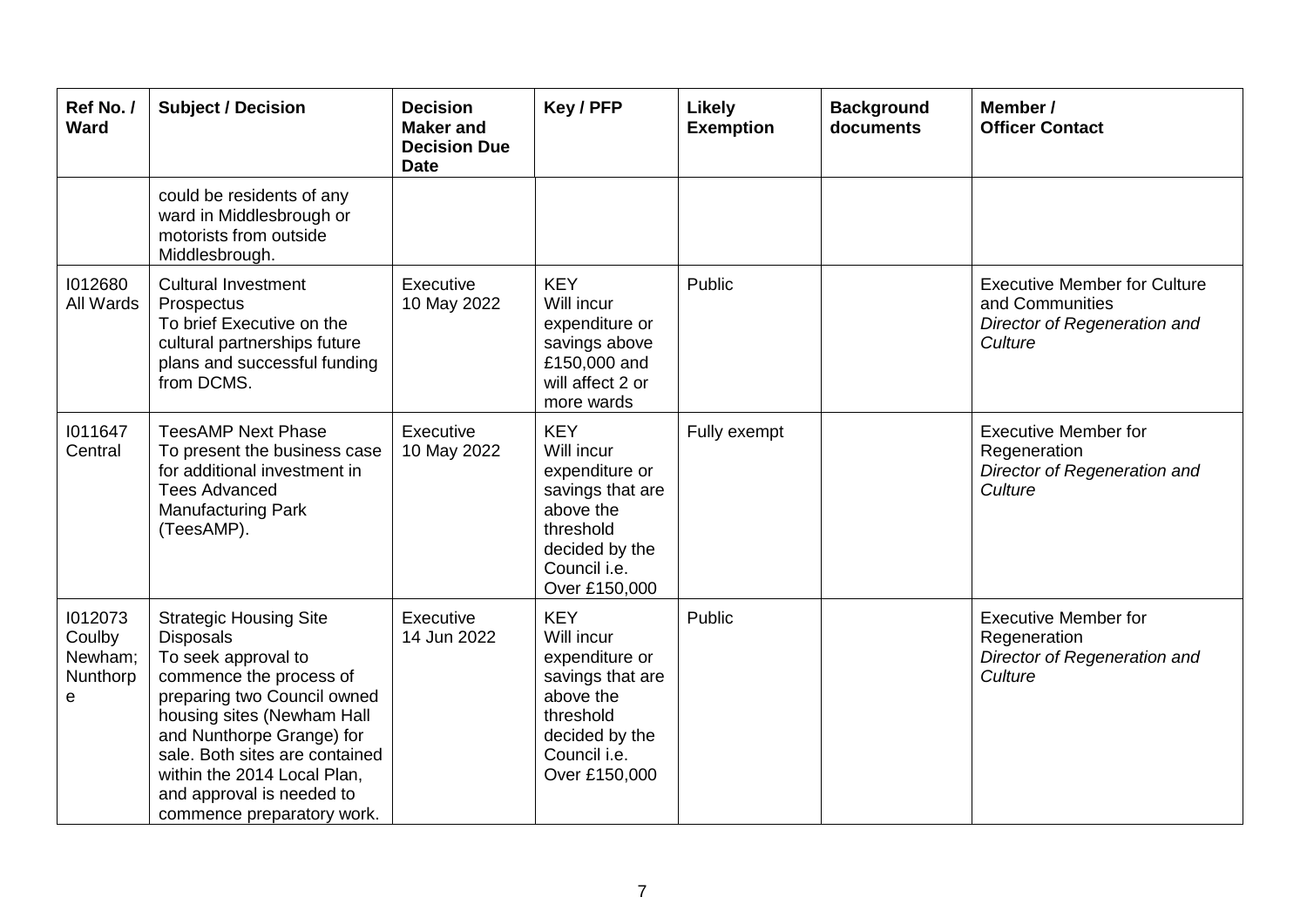| Ref No./<br><b>Ward</b>                       | <b>Subject / Decision</b>                                                                                                                                                                                                                                                                                                 | <b>Decision</b><br><b>Maker and</b><br><b>Decision Due</b><br><b>Date</b> | Key / PFP                                                                                                                                   | <b>Likely</b><br><b>Exemption</b> | <b>Background</b><br>documents | Member /<br><b>Officer Contact</b>                                                                |
|-----------------------------------------------|---------------------------------------------------------------------------------------------------------------------------------------------------------------------------------------------------------------------------------------------------------------------------------------------------------------------------|---------------------------------------------------------------------------|---------------------------------------------------------------------------------------------------------------------------------------------|-----------------------------------|--------------------------------|---------------------------------------------------------------------------------------------------|
|                                               | could be residents of any<br>ward in Middlesbrough or<br>motorists from outside<br>Middlesbrough.                                                                                                                                                                                                                         |                                                                           |                                                                                                                                             |                                   |                                |                                                                                                   |
| 1012680<br>All Wards                          | <b>Cultural Investment</b><br>Prospectus<br>To brief Executive on the<br>cultural partnerships future<br>plans and successful funding<br>from DCMS.                                                                                                                                                                       | Executive<br>10 May 2022                                                  | <b>KEY</b><br>Will incur<br>expenditure or<br>savings above<br>£150,000 and<br>will affect 2 or<br>more wards                               | Public                            |                                | <b>Executive Member for Culture</b><br>and Communities<br>Director of Regeneration and<br>Culture |
| 1011647<br>Central                            | <b>TeesAMP Next Phase</b><br>To present the business case<br>for additional investment in<br><b>Tees Advanced</b><br><b>Manufacturing Park</b><br>(TeesAMP).                                                                                                                                                              | Executive<br>10 May 2022                                                  | <b>KEY</b><br>Will incur<br>expenditure or<br>savings that are<br>above the<br>threshold<br>decided by the<br>Council i.e.<br>Over £150,000 | Fully exempt                      |                                | <b>Executive Member for</b><br>Regeneration<br>Director of Regeneration and<br>Culture            |
| 1012073<br>Coulby<br>Newham;<br>Nunthorp<br>е | <b>Strategic Housing Site</b><br><b>Disposals</b><br>To seek approval to<br>commence the process of<br>preparing two Council owned<br>housing sites (Newham Hall<br>and Nunthorpe Grange) for<br>sale. Both sites are contained<br>within the 2014 Local Plan,<br>and approval is needed to<br>commence preparatory work. | Executive<br>14 Jun 2022                                                  | <b>KEY</b><br>Will incur<br>expenditure or<br>savings that are<br>above the<br>threshold<br>decided by the<br>Council i.e.<br>Over £150,000 | Public                            |                                | <b>Executive Member for</b><br>Regeneration<br>Director of Regeneration and<br>Culture            |